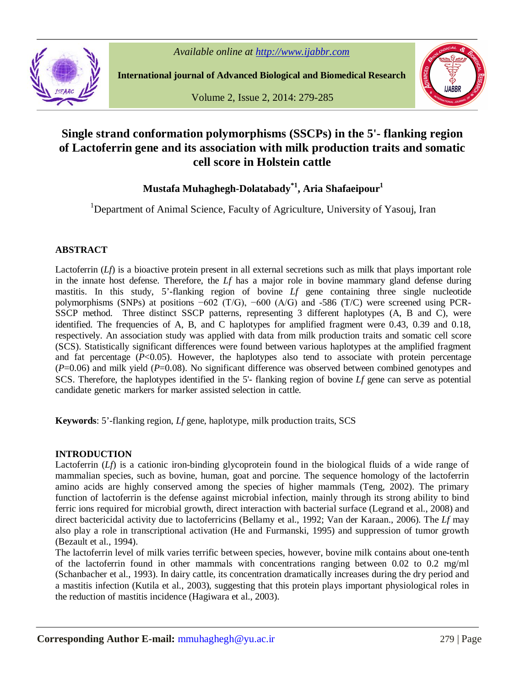

**International journal of Advanced Biological and Biomedical Research**

Volume 2, Issue 2, 2014: 279-285



# **Single strand conformation polymorphisms (SSCPs) in the 5'- flanking region of Lactoferrin gene and its association with milk production traits and somatic cell score in Holstein cattle**

**Mustafa Muhaghegh-Dolatabady\*1 , Aria Shafaeipour<sup>1</sup>**

<sup>1</sup>Department of Animal Science, Faculty of Agriculture, University of Yasouj, Iran

# **ABSTRACT**

Lactoferrin (*Lf*) is a bioactive protein present in all external secretions such as milk that plays important role in the innate host defense. Therefore, the *Lf* has a major role in bovine mammary gland defense during mastitis. In this study, 5'-flanking region of bovine *Lf* gene containing three single nucleotide polymorphisms (SNPs) at positions −602 (T/G), −600 (A/G) and -586 (T/C) were screened using PCR-SSCP method. Three distinct SSCP patterns, representing 3 different haplotypes (A, B and C), were identified. The frequencies of A, B, and C haplotypes for amplified fragment were 0.43, 0.39 and 0.18, respectively. An association study was applied with data from milk production traits and somatic cell score (SCS). Statistically significant differences were found between various haplotypes at the amplified fragment and fat percentage  $(P<0.05)$ . However, the haplotypes also tend to associate with protein percentage (*P*=0.06) and milk yield (*P*=0.08). No significant difference was observed between combined genotypes and SCS. Therefore, the haplotypes identified in the 5'- flanking region of bovine *Lf* gene can serve as potential candidate genetic markers for marker assisted selection in cattle.

**Keywords**: 5'-flanking region, *Lf* gene, haplotype, milk production traits, SCS

# **INTRODUCTION**

Lactoferrin (*Lf*) is a cationic iron-binding glycoprotein found in the biological fluids of a wide range of mammalian species, such as bovine, human, goat and porcine. The sequence homology of the lactoferrin amino acids are highly conserved among the species of higher mammals (Teng, 2002). The primary function of lactoferrin is the defense against microbial infection, mainly through its strong ability to bind ferric ions required for microbial growth, direct interaction with bacterial surface (Legrand et al., 2008) and direct bactericidal activity due to lactoferricins (Bellamy et al., 1992; Van der Karaan., 2006). The *Lf* may also play a role in transcriptional activation (He and Furmanski, 1995) and suppression of tumor growth (Bezault et al., 1994).

The lactoferrin level of milk varies terrific between species, however, bovine milk contains about one-tenth of the lactoferrin found in other mammals with concentrations ranging between 0.02 to 0.2 mg/ml (Schanbacher et al., 1993). In dairy cattle, its concentration dramatically increases during the dry period and a mastitis infection (Kutila et al., 2003), suggesting that this protein plays important physiological roles in the reduction of mastitis incidence (Hagiwara et al., 2003).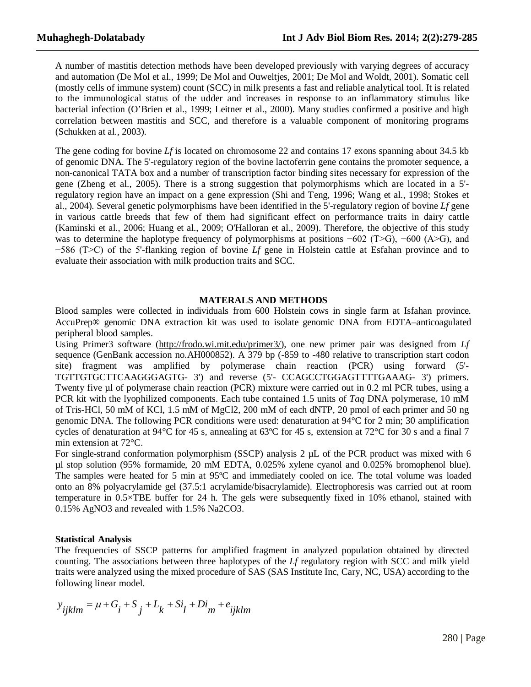A number of mastitis detection methods have been developed previously with varying degrees of accuracy and automation (De Mol et al., 1999; De Mol and Ouweltjes, 2001; De Mol and Woldt, 2001). Somatic cell (mostly cells of immune system) count (SCC) in milk presents a fast and reliable analytical tool. It is related to the immunological status of the udder and increases in response to an inflammatory stimulus like bacterial infection (O'Brien et al., 1999; Leitner et al., 2000). Many studies confirmed a positive and high correlation between mastitis and SCC, and therefore is a valuable component of monitoring programs (Schukken at al., 2003).

The gene coding for bovine *Lf* is located on chromosome 22 and contains 17 exons spanning about 34.5 kb of genomic DNA. The 5'-regulatory region of the bovine lactoferrin gene contains the promoter sequence, a non-canonical TATA box and a number of transcription factor binding sites necessary for expression of the gene (Zheng et al., 2005). There is a strong suggestion that polymorphisms which are located in a 5' regulatory region have an impact on a gene expression (Shi and Teng, 1996; Wang et al., 1998; Stokes et al., 2004). Several genetic polymorphisms have been identified in the 5'-regulatory region of bovine *Lf* gene in various cattle breeds that few of them had significant effect on performance traits in dairy cattle (Kaminski et al., 2006; Huang et al., 2009; O'Halloran et al., 2009). Therefore, the objective of this study was to determine the haplotype frequency of polymorphisms at positions −602 (T>G), −600 (A>G), and −586 (T>C) of the 5'-flanking region of bovine *Lf* gene in Holstein cattle at Esfahan province and to evaluate their association with milk production traits and SCC.

#### **MATERALS AND METHODS**

Blood samples were collected in individuals from 600 Holstein cows in single farm at Isfahan province. AccuPrep® genomic DNA extraction kit was used to isolate genomic DNA from EDTA–anticoagulated peripheral blood samples.

Using Primer3 software (http://frodo.wi.mit.edu/primer3/), one new primer pair was designed from *Lf*  sequence (GenBank accession no.AH000852). A 379 bp (-859 to -480 relative to transcription start codon site) fragment was amplified by polymerase chain reaction (PCR) using forward (5'- TGTTGTGCTTCAAGGGAGTG- 3') and reverse (5'- CCAGCCTGGAGTTTTGAAAG- 3') primers. Twenty five µl of polymerase chain reaction (PCR) mixture were carried out in 0.2 ml PCR tubes, using a PCR kit with the lyophilized components. Each tube contained 1.5 units of *Taq* DNA polymerase, 10 mM of Tris-HCl, 50 mM of KCl, 1.5 mM of MgCl2, 200 mM of each dNTP, 20 pmol of each primer and 50 ng genomic DNA. The following PCR conditions were used: denaturation at 94°C for 2 min; 30 amplification cycles of denaturation at 94°C for 45 s, annealing at 63ºC for 45 s, extension at 72°C for 30 s and a final 7 min extension at 72°C.

For single-strand conformation polymorphism (SSCP) analysis  $2 \mu L$  of the PCR product was mixed with 6 µl stop solution (95% formamide, 20 mM EDTA, 0.025% xylene cyanol and 0.025% bromophenol blue). The samples were heated for 5 min at 95ºC and immediately cooled on ice. The total volume was loaded onto an 8% polyacrylamide gel (37.5:1 acrylamide/bisacrylamide). Electrophoresis was carried out at room temperature in 0.5×TBE buffer for 24 h. The gels were subsequently fixed in 10% ethanol, stained with 0.15% AgNO3 and revealed with 1.5% Na2CO3.

#### **Statistical Analysis**

The frequencies of SSCP patterns for amplified fragment in analyzed population obtained by directed counting. The associations between three haplotypes of the *Lf* regulatory region with SCC and milk yield traits were analyzed using the mixed procedure of SAS (SAS Institute Inc, Cary, NC, USA) according to the following linear model.

$$
y_{ijklm} = \mu + G_i + S_j + L_k + Si_l + Di_m + e_{ijklm}
$$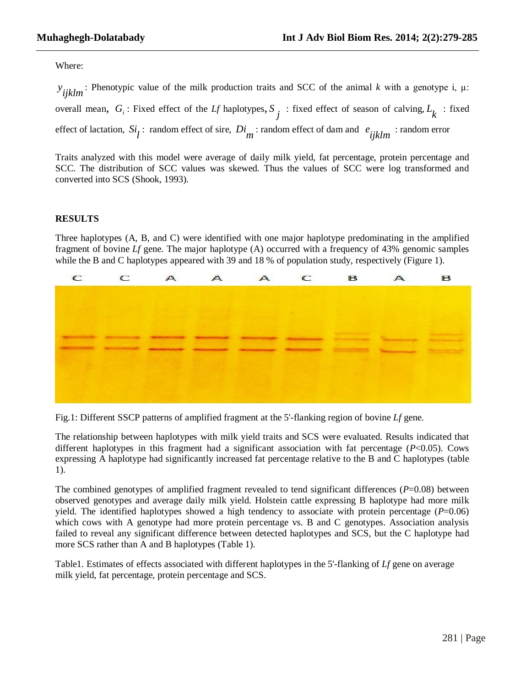Where:

*y ijklm* <sup>2</sup> : Phenotypic value of the milk production traits and SCC of the animal *k* with a genotype *i*,  $\mu$ : overall mean,  $G_i$ : Fixed effect of the *Lf* haplotypes,  $S_j$ : fixed effect of season of calving,  $L_k$ : fixed effect of lactation,  $Si_{\tilde{l}}$ : random effect of sire,  $Di_{\tilde{m}}$ : random effect of dam and  $e_{ijklm}$ : random error

Traits analyzed with this model were average of daily milk yield, fat percentage, protein percentage and SCC. The distribution of SCC values was skewed. Thus the values of SCC were log transformed and converted into SCS (Shook, 1993).

#### **RESULTS**

Three haplotypes (A, B, and C) were identified with one major haplotype predominating in the amplified fragment of bovine *Lf* gene. The major haplotype (A) occurred with a frequency of 43% genomic samples while the B and C haplotypes appeared with 39 and 18 % of population study, respectively (Figure 1).



Fig.1: Different SSCP patterns of amplified fragment at the 5'-flanking region of bovine *Lf* gene.

The relationship between haplotypes with milk yield traits and SCS were evaluated. Results indicated that different haplotypes in this fragment had a significant association with fat percentage (*P*<0.05). Cows expressing A haplotype had significantly increased fat percentage relative to the B and C haplotypes (table 1).

The combined genotypes of amplified fragment revealed to tend significant differences (*P*=0.08) between observed genotypes and average daily milk yield. Holstein cattle expressing B haplotype had more milk yield. The identified haplotypes showed a high tendency to associate with protein percentage  $(P=0.06)$ which cows with A genotype had more protein percentage vs. B and C genotypes. Association analysis failed to reveal any significant difference between detected haplotypes and SCS, but the C haplotype had more SCS rather than A and B haplotypes (Table 1).

Table1. Estimates of effects associated with different haplotypes in the 5'-flanking of *Lf* gene on average milk yield, fat percentage, protein percentage and SCS.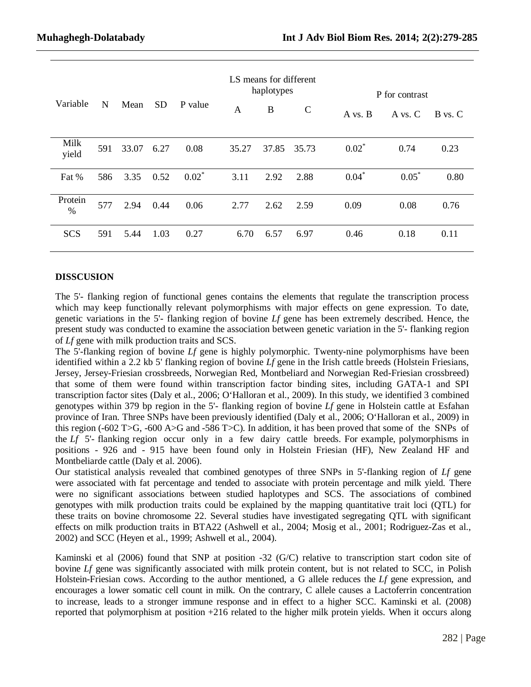| Variable                 | N   | Mean  | <b>SD</b> | P value | LS means for different<br>haplotypes |       |             | P for contrast |           |         |
|--------------------------|-----|-------|-----------|---------|--------------------------------------|-------|-------------|----------------|-----------|---------|
|                          |     |       |           |         | A                                    | B     | $\mathbf C$ | A vs. B        | A vs. $C$ | B vs. C |
| Milk<br>yield            | 591 | 33.07 | 6.27      | 0.08    | 35.27                                | 37.85 | 35.73       | $0.02*$        | 0.74      | 0.23    |
| Fat %                    | 586 | 3.35  | 0.52      | $0.02*$ | 3.11                                 | 2.92  | 2.88        | $0.04*$        | $0.05*$   | 0.80    |
| Protein<br>$\frac{0}{0}$ | 577 | 2.94  | 0.44      | 0.06    | 2.77                                 | 2.62  | 2.59        | 0.09           | 0.08      | 0.76    |
| <b>SCS</b>               | 591 | 5.44  | 1.03      | 0.27    | 6.70                                 | 6.57  | 6.97        | 0.46           | 0.18      | 0.11    |

## **DISSCUSION**

The 5'- flanking region of functional genes contains the elements that regulate the transcription process which may keep functionally relevant polymorphisms with major effects on gene expression. To date, genetic variations in the 5'- flanking region of bovine *Lf* gene has been extremely described. Hence, the present study was conducted to examine the association between genetic variation in the 5'- flanking region of *Lf* gene with milk production traits and SCS.

The 5'-flanking region of bovine *Lf* gene is highly polymorphic. Twenty-nine polymorphisms have been identified within a 2.2 kb 5' flanking region of bovine *Lf* gene in the Irish cattle breeds (Holstein Friesians, Jersey, Jersey-Friesian crossbreeds, Norwegian Red, Montbeliard and Norwegian Red-Friesian crossbreed) that some of them were found within transcription factor binding sites, including GATA-1 and SPI transcription factor sites (Daly et al., 2006; O'Halloran et al., 2009). In this study, we identified 3 combined genotypes within 379 bp region in the 5'- flanking region of bovine *Lf* gene in Holstein cattle at Esfahan province of Iran. Three SNPs have been previously identified (Daly et al., 2006; O'Halloran et al., 2009) in this region (-602 T>G, -600 A>G and -586 T>C). In addition, it has been proved that some of the SNPs of the *Lf* 5'- flanking region occur only in a few dairy cattle breeds. For example, polymorphisms in positions - 926 and - 915 have been found only in Holstein Friesian (HF), New Zealand HF and Montbeliarde cattle (Daly et al. 2006).

Our statistical analysis revealed that combined genotypes of three SNPs in 5'-flanking region of *Lf* gene were associated with fat percentage and tended to associate with protein percentage and milk yield. There were no significant associations between studied haplotypes and SCS. The associations of combined genotypes with milk production traits could be explained by the mapping quantitative trait loci (QTL) for these traits on bovine chromosome 22. Several studies have investigated segregating QTL with significant effects on milk production traits in BTA22 (Ashwell et al., 2004; Mosig et al., 2001; Rodriguez-Zas et al., 2002) and SCC (Heyen et al., 1999; Ashwell et al., 2004).

Kaminski et al (2006) found that SNP at position -32 (G/C) relative to transcription start codon site of bovine *Lf* gene was significantly associated with milk protein content, but is not related to SCC, in Polish Holstein-Friesian cows. According to the author mentioned, a G allele reduces the *Lf* gene expression, and encourages a lower somatic cell count in milk. On the contrary, C allele causes a Lactoferrin concentration to increase, leads to a stronger immune response and in effect to a higher SCC. Kaminski et al. (2008) reported that polymorphism at position +216 related to the higher milk protein yields. When it occurs along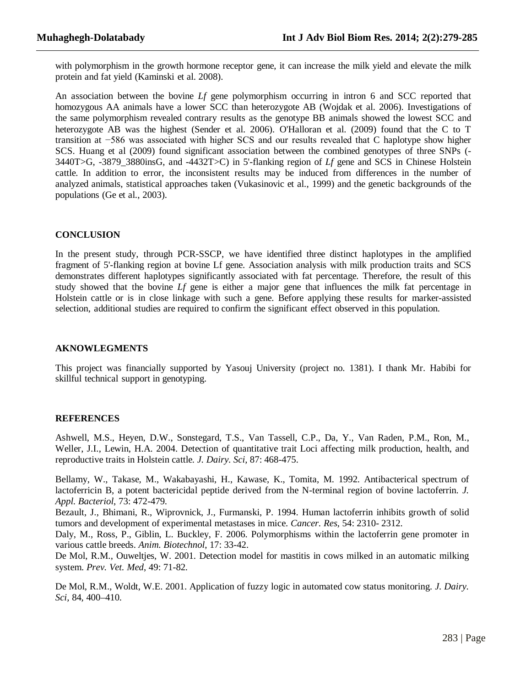with polymorphism in the growth hormone receptor gene, it can increase the milk yield and elevate the milk protein and fat yield (Kaminski et al. 2008).

An association between the bovine *Lf* gene polymorphism occurring in intron 6 and SCC reported that homozygous AA animals have a lower SCC than heterozygote AB (Wojdak et al. 2006). Investigations of the same polymorphism revealed contrary results as the genotype BB animals showed the lowest SCC and heterozygote AB was the highest (Sender et al. 2006). O'Halloran et al. (2009) found that the C to T transition at −586 was associated with higher SCS and our results revealed that C haplotype show higher SCS. Huang et al (2009) found significant association between the combined genotypes of three SNPs (- 3440T>G, -3879\_3880insG, and -4432T>C) in 5'-flanking region of *Lf* gene and SCS in Chinese Holstein cattle. In addition to error, the inconsistent results may be induced from differences in the number of analyzed animals, statistical approaches taken (Vukasinovic et al., 1999) and the genetic backgrounds of the populations (Ge et al., 2003).

## **CONCLUSION**

In the present study, through PCR-SSCP, we have identified three distinct haplotypes in the amplified fragment of 5'-flanking region at bovine Lf gene. Association analysis with milk production traits and SCS demonstrates different haplotypes significantly associated with fat percentage. Therefore, the result of this study showed that the bovine *Lf* gene is either a major gene that influences the milk fat percentage in Holstein cattle or is in close linkage with such a gene. Before applying these results for marker-assisted selection, additional studies are required to confirm the significant effect observed in this population.

### **AKNOWLEGMENTS**

This project was financially supported by Yasouj University (project no. 1381). I thank Mr. Habibi for skillful technical support in genotyping.

#### **REFERENCES**

Ashwell, M.S., Heyen, D.W., Sonstegard, T.S., Van Tassell, C.P., Da, Y., Van Raden, P.M., Ron, M., Weller, J.I., Lewin, H.A. 2004. Detection of quantitative trait Loci affecting milk production, health, and reproductive traits in Holstein cattle. *J. Dairy. Sci,* 87: 468-475.

Bellamy, W., Takase, M., Wakabayashi, H., Kawase, K., Tomita, M. 1992. Antibacterical spectrum of lactoferricin B, a potent bactericidal peptide derived from the N-terminal region of bovine lactoferrin. *J. Appl. Bacteriol*, 73: 472-479.

Bezault, J., Bhimani, R., Wiprovnick, J., Furmanski, P. 1994. Human lactoferrin inhibits growth of solid tumors and development of experimental metastases in mice. *Cancer. Res*, 54: 2310- 2312.

Daly, M., Ross, P., Giblin, L. Buckley, F. 2006. Polymorphisms within the lactoferrin gene promoter in various cattle breeds. *Anim. Biotechnol*, 17: 33-42.

De Mol, R.M., Ouweltjes, W. 2001. Detection model for mastitis in cows milked in an automatic milking system. *Prev. Vet. Med*, 49: 71-82.

De Mol, R.M., Woldt, W.E. 2001. Application of fuzzy logic in automated cow status monitoring. *J. Dairy. Sci,* 84, 400–410.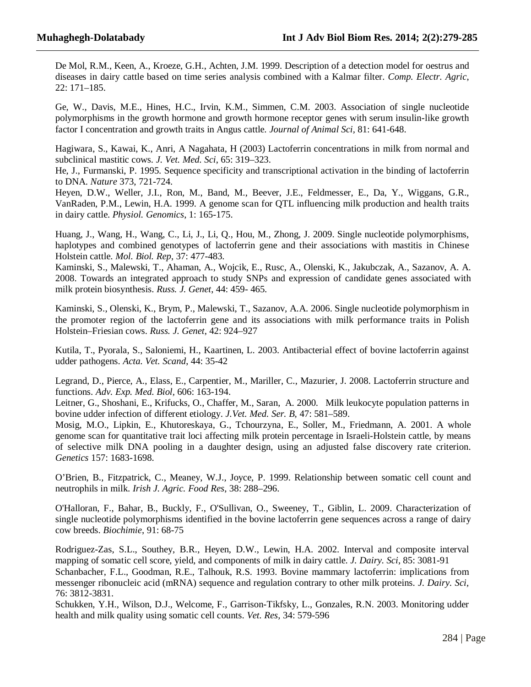De Mol, R.M., Keen, A., Kroeze, G.H., Achten, J.M. 1999. Description of a detection model for oestrus and diseases in dairy cattle based on time series analysis combined with a Kalmar filter. *Comp. Electr. Agric*, 22: 171–185.

Ge, W., Davis, M.E., Hines, H.C., Irvin, K.M., Simmen, C.M. 2003. Association of single nucleotide polymorphisms in the growth hormone and growth hormone receptor genes with serum insulin-like growth factor I concentration and growth traits in Angus cattle. *Journal of Animal Sci,* 81: 641-648.

Hagiwara, S., Kawai, K., Anri, A Nagahata, H (2003) Lactoferrin concentrations in milk from normal and subclinical mastitic cows. *J. Vet. Med. Sci*, 65: 319–323.

He, J., Furmanski, P. 1995. Sequence specificity and transcriptional activation in the binding of lactoferrin to DNA. *Nature* 373, 721-724.

Heyen, D.W., Weller, J.I., Ron, M., Band, M., Beever, J.E., Feldmesser, E., Da, Y., Wiggans, G.R., VanRaden, P.M., Lewin, H.A. 1999. A genome scan for QTL influencing milk production and health traits in dairy cattle. *Physiol. Genomics*, 1: 165-175.

Huang, J., Wang, H., Wang, C., Li, J., Li, Q., Hou, M., Zhong, J. 2009. Single nucleotide polymorphisms, haplotypes and combined genotypes of lactoferrin gene and their associations with mastitis in Chinese Holstein cattle. *Mol. Biol. Rep*, 37: 477-483.

Kaminski, S., Malewski, T., Ahaman, A., Wojcik, E., Rusc, A., Olenski, K., Jakubczak, A., Sazanov, A. A. 2008. Towards an integrated approach to study SNPs and expression of candidate genes associated with milk protein biosynthesis. *Russ. J. Genet*, 44: 459- 465.

Kaminski, S., Olenski, K., Brym, P., Malewski, T., Sazanov, A.A. 2006. Single nucleotide polymorphism in the promoter region of the lactoferrin gene and its associations with milk performance traits in Polish Holstein–Friesian cows. *Russ. J. Genet*, 42: 924–927

Kutila, T., Pyorala, S., Saloniemi, H., Kaartinen, L. 2003. Antibacterial effect of bovine lactoferrin against udder pathogens. *Acta. Vet. Scand*, 44: 35-42

Legrand, D., Pierce, A., Elass, E., Carpentier, M., Mariller, C., Mazurier, J. 2008. Lactoferrin structure and functions. *Adv. Exp. Med. Biol,* 606: 163-194.

Leitner, G., Shoshani, E., Krifucks, O., Chaffer, M., Saran, A. 2000. Milk leukocyte population patterns in bovine udder infection of different etiology. *J.Vet. Med. Ser. B*, 47: 581–589.

Mosig, M.O., Lipkin, E., Khutoreskaya, G., Tchourzyna, E., Soller, M., Friedmann, A. 2001. A whole genome scan for quantitative trait loci affecting milk protein percentage in Israeli-Holstein cattle, by means of selective milk DNA pooling in a daughter design, using an adjusted false discovery rate criterion. *Genetics* 157: 1683-1698.

O'Brien, B., Fitzpatrick, C., Meaney, W.J., Joyce, P. 1999. Relationship between somatic cell count and neutrophils in milk. *Irish J. Agric. Food Res*, 38: 288–296.

O'Halloran, F., Bahar, B., Buckly, F., O'Sullivan, O., Sweeney, T., Giblin, L. 2009. Characterization of single nucleotide polymorphisms identified in the bovine lactoferrin gene sequences across a range of dairy cow breeds. *Biochimie*, 91: 68-75

Rodriguez-Zas, S.L., Southey, B.R., Heyen, D.W., Lewin, H.A. 2002. Interval and composite interval mapping of somatic cell score, yield, and components of milk in dairy cattle. *J. Dairy. Sci*, 85: 3081-91 Schanbacher, F.L., Goodman, R.E., Talhouk, R.S. 1993. Bovine mammary lactoferrin: implications from messenger ribonucleic acid (mRNA) sequence and regulation contrary to other milk proteins. *J. Dairy. Sci,* 76: 3812-3831.

Schukken, Y.H., Wilson, D.J., Welcome, F., Garrison-Tikfsky, L., Gonzales, R.N. 2003. Monitoring udder health and milk quality using somatic cell counts. *Vet. Res,* 34: 579-596